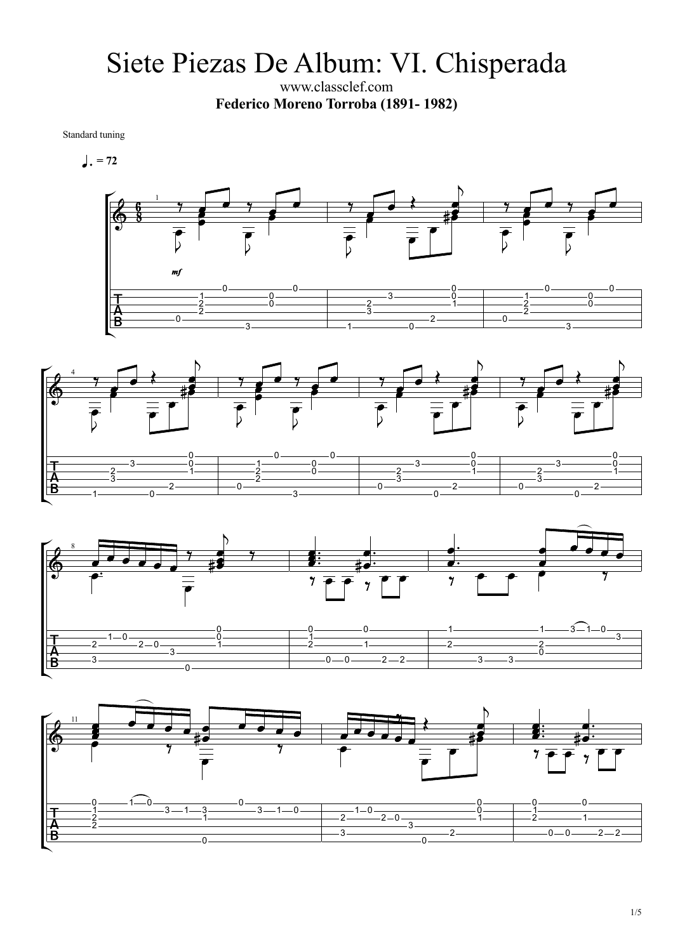## Siete Piezas De Album: VI. Chisperada

www.classclef.com **Federico Moreno Torroba (1891- 1982)**

Standard tuning

$$
\mathbf{J} = 72
$$







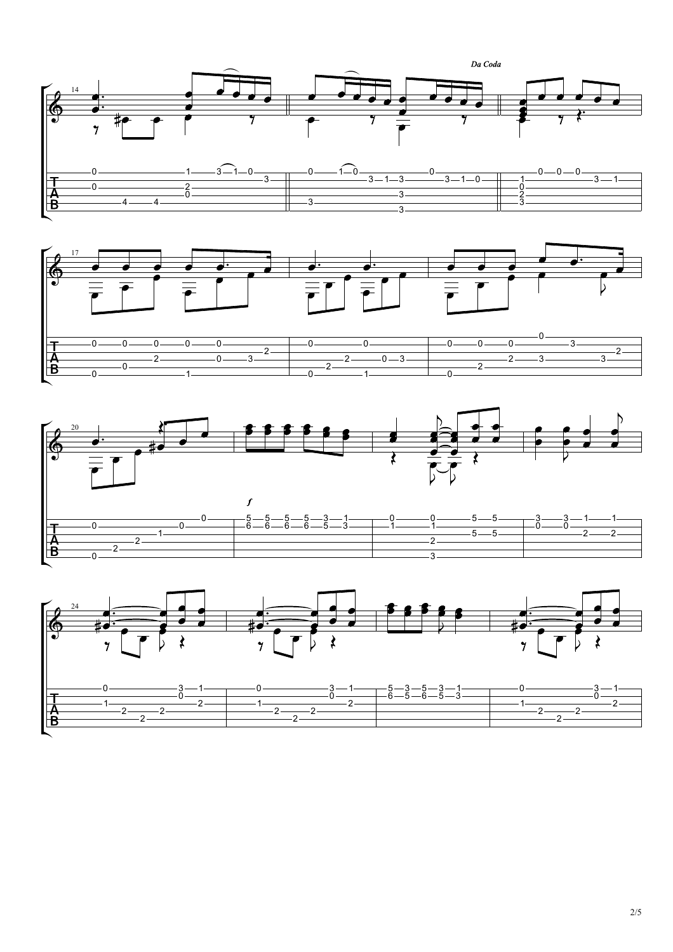





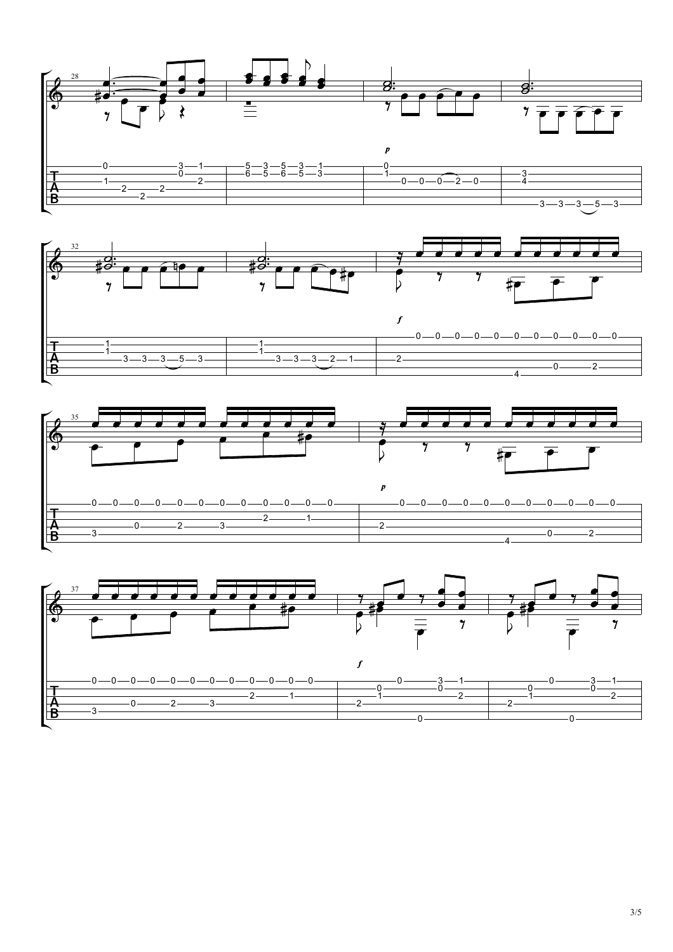





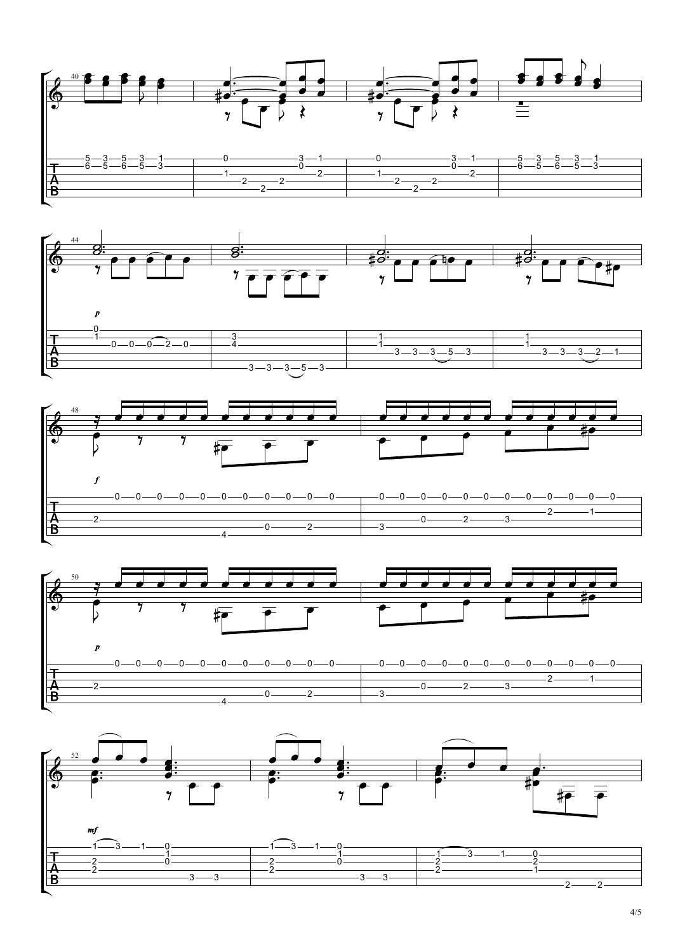